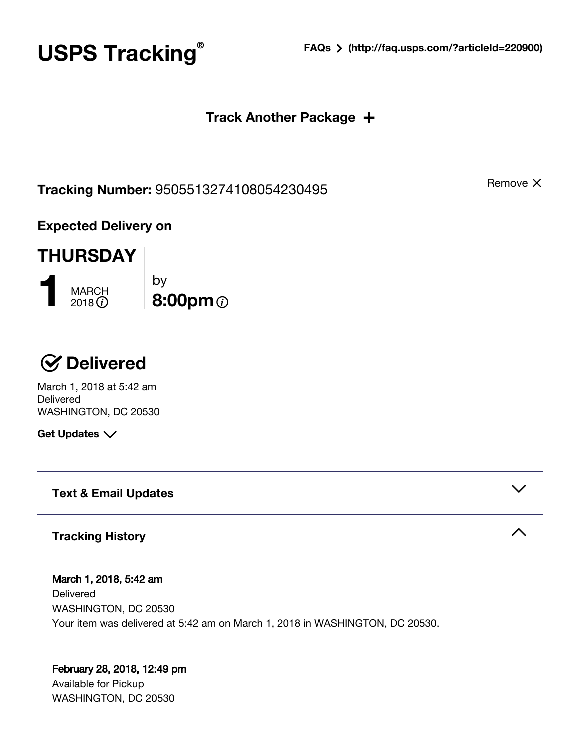**® FAQs [\(http://faq.usps.com/?articleId=220900\)](http://faq.usps.com/?articleId=220900)**

### **Track Another Package** +

**Tracking Number:** 9505513274108054230495

by

 $\ddot{\textcirc}$  8:00pm $\ddot{\textcirc}$ 

**Expected Delivery on**

# **THURSDAY**

**1** MARCH<br>2018 **1** 

 **Delivered** March 1, 2018 at 5:42 am **Delivered** WASHINGTON, DC 20530

**Get Updates**

**Text & Email Updates**

# **Tracking History**

March 1, 2018, 5:42 am Delivered WASHINGTON, DC 20530 Your item was delivered at 5:42 am on March 1, 2018 in WASHINGTON, DC 20530.

# February 28, 2018, 12:49 pm

Available for Pickup WASHINGTON, DC 20530 Remove X



# **USPS Tracking**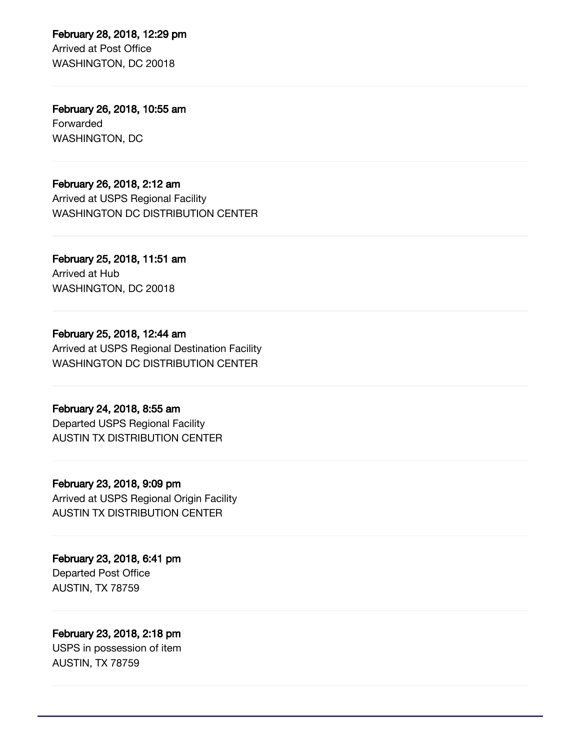February 28, 2018, 12:29 pm Arrived at Post Office WASHINGTON, DC 20018

February 26, 2018, 10:55 am Forwarded WASHINGTON, DC

February 26, 2018, 2:12 am Arrived at USPS Regional Facility WASHINGTON DC DISTRIBUTION CENTER

February 25, 2018, 11:51 am Arrived at Hub WASHINGTON, DC 20018

February 25, 2018, 12:44 am Arrived at USPS Regional Destination Facility WASHINGTON DC DISTRIBUTION CENTER

February 24, 2018, 8:55 am Departed USPS Regional Facility AUSTIN TX DISTRIBUTION CENTER

# February 23, 2018, 9:09 pm Arrived at USPS Regional Origin Facility

AUSTIN TX DISTRIBUTION CENTER

February 23, 2018, 6:41 pm Departed Post Office AUSTIN, TX 78759

#### February 23, 2018, 2:18 pm USPS in possession of item

AUSTIN, TX 78759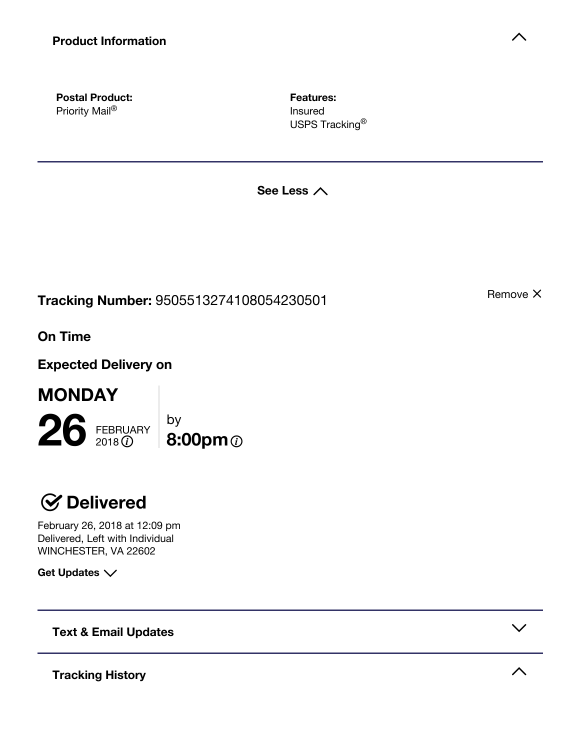**Postal Product:** Priority Mail®

**Features:** Insured USPS Tracking<sup>®</sup>

**See Less**

**Tracking Number:** 9505513274108054230501

**On Time**

**MONDAY**

**Expected Delivery on**

26 FEBRUARY by **6:00pm 6:00pm** 

# **Delivered**

February 26, 2018 at 12:09 pm Delivered, Left with Individual WINCHESTER, VA 22602

**Get Updates**

**Text & Email Updates**

**Tracking History**

Remove X



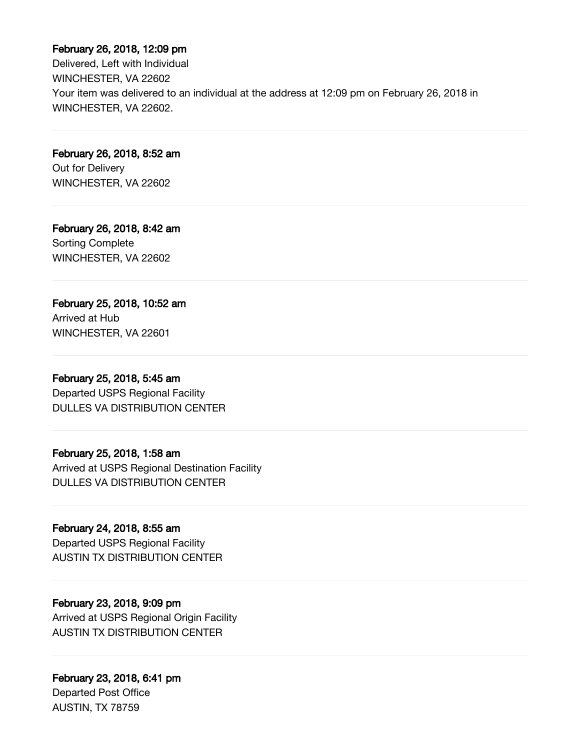#### February 26, 2018, 12:09 pm

Delivered, Left with Individual WINCHESTER, VA 22602 Your item was delivered to an individual at the address at 12:09 pm on February 26, 2018 in WINCHESTER, VA 22602.

February 26, 2018, 8:52 am Out for Delivery WINCHESTER, VA 22602

February 26, 2018, 8:42 am Sorting Complete WINCHESTER, VA 22602

# February 25, 2018, 10:52 am

Arrived at Hub WINCHESTER, VA 22601

#### February 25, 2018, 5:45 am

Departed USPS Regional Facility DULLES VA DISTRIBUTION CENTER

#### February 25, 2018, 1:58 am

Arrived at USPS Regional Destination Facility DULLES VA DISTRIBUTION CENTER

#### February 24, 2018, 8:55 am

Departed USPS Regional Facility AUSTIN TX DISTRIBUTION CENTER

### February 23, 2018, 9:09 pm

Arrived at USPS Regional Origin Facility AUSTIN TX DISTRIBUTION CENTER

### February 23, 2018, 6:41 pm

Departed Post Office AUSTIN, TX 78759